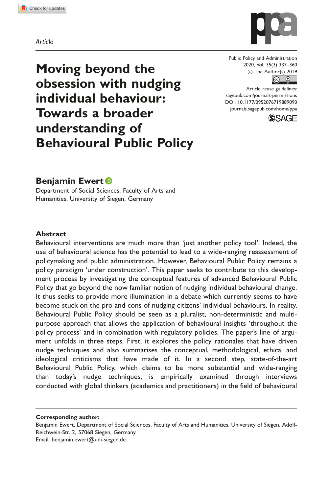



Moving beyond the obsession with nudging individual behaviour: Towards a broader understanding of Behavioural Public Policy Public Policy and Administration 2020, Vol. 35(3) 337–360  $\circ$  The Author(s) 2019  $\boxed{6}$   $\boxed{0}$ 

Article reuse guidelines: [sagepub.com/journals-permissions](http://uk.sagepub.com/en-gb/journals-permissions) [DOI: 10.1177/0952076719889090](http://dx.doi.org/10.1177/0952076719889090) <journals.sagepub.com/home/ppa>



# Benjamin Ewert

Department of Social Sciences, Faculty of Arts and Humanities, University of Siegen, Germany

### Abstract

Behavioural interventions are much more than 'just another policy tool'. Indeed, the use of behavioural science has the potential to lead to a wide-ranging reassessment of policymaking and public administration. However, Behavioural Public Policy remains a policy paradigm 'under construction'. This paper seeks to contribute to this development process by investigating the conceptual features of advanced Behavioural Public Policy that go beyond the now familiar notion of nudging individual behavioural change. It thus seeks to provide more illumination in a debate which currently seems to have become stuck on the pro and cons of nudging citizens' individual behaviours. In reality, Behavioural Public Policy should be seen as a pluralist, non-deterministic and multipurpose approach that allows the application of behavioural insights 'throughout the policy process' and in combination with regulatory policies. The paper's line of argument unfolds in three steps. First, it explores the policy rationales that have driven nudge techniques and also summarises the conceptual, methodological, ethical and ideological criticisms that have made of it. In a second step, state-of-the-art Behavioural Public Policy, which claims to be more substantial and wide-ranging than today's nudge techniques, is empirically examined through interviews conducted with global thinkers (academics and practitioners) in the field of behavioural

Corresponding author:

Benjamin Ewert, Department of Social Sciences, Faculty of Arts and Humanities, University of Siegen, Adolf-Reichwein-Str. 2, 57068 Siegen, Germany. Email: [benjamin.ewert@uni-siegen.de](mailto:benjamin.ewert@uni-siegen.de)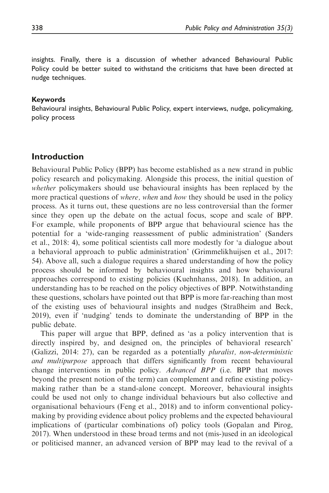insights. Finally, there is a discussion of whether advanced Behavioural Public Policy could be better suited to withstand the criticisms that have been directed at nudge techniques.

#### Keywords

Behavioural insights, Behavioural Public Policy, expert interviews, nudge, policymaking, policy process

## Introduction

Behavioural Public Policy (BPP) has become established as a new strand in public policy research and policymaking. Alongside this process, the initial question of whether policymakers should use behavioural insights has been replaced by the more practical questions of *where, when* and *how* they should be used in the policy process. As it turns out, these questions are no less controversial than the former since they open up the debate on the actual focus, scope and scale of BPP. For example, while proponents of BPP argue that behavioural science has the potential for a 'wide-ranging reassessment of public administration' (Sanders et al., 2018: 4), some political scientists call more modestly for 'a dialogue about a behavioral approach to public administration' (Grimmelikhuijsen et al., 2017: 54). Above all, such a dialogue requires a shared understanding of how the policy process should be informed by behavioural insights and how behavioural approaches correspond to existing policies (Kuehnhanss, 2018). In addition, an understanding has to be reached on the policy objectives of BPP. Notwithstanding these questions, scholars have pointed out that BPP is more far-reaching than most of the existing uses of behavioural insights and nudges (Straßheim and Beck, 2019), even if 'nudging' tends to dominate the understanding of BPP in the public debate.

This paper will argue that BPP, defined as 'as a policy intervention that is directly inspired by, and designed on, the principles of behavioral research' (Galizzi, 2014: 27), can be regarded as a potentially pluralist, non-deterministic and multipurpose approach that differs significantly from recent behavioural change interventions in public policy. Advanced BPP (i.e. BPP that moves beyond the present notion of the term) can complement and refine existing policymaking rather than be a stand-alone concept. Moreover, behavioural insights could be used not only to change individual behaviours but also collective and organisational behaviours (Feng et al., 2018) and to inform conventional policymaking by providing evidence about policy problems and the expected behavioural implications of (particular combinations of) policy tools (Gopalan and Pirog, 2017). When understood in these broad terms and not (mis-)used in an ideological or politicised manner, an advanced version of BPP may lead to the revival of a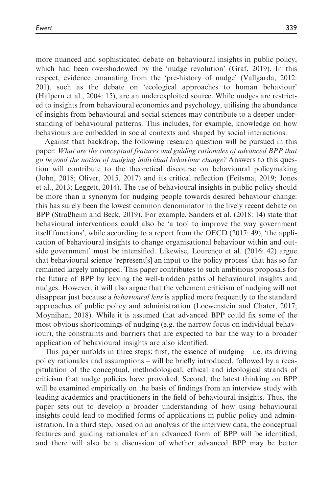more nuanced and sophisticated debate on behavioural insights in public policy, which had been overshadowed by the 'nudge revolution' (Graf, 2019). In this respect, evidence emanating from the 'pre-history of nudge' (Vallgårda, 2012: 201), such as the debate on 'ecological approaches to human behaviour' (Halpern et al., 2004: 15), are an underexploited source. While nudges are restricted to insights from behavioural economics and psychology, utilising the abundance of insights from behavioural and social sciences may contribute to a deeper understanding of behavioural patterns. This includes, for example, knowledge on how behaviours are embedded in social contexts and shaped by social interactions.

Against that backdrop, the following research question will be pursued in this paper: What are the conceptual features and guiding rationales of advanced BPP that go beyond the notion of nudging individual behaviour change? Answers to this question will contribute to the theoretical discourse on behavioural policymaking (John, 2018; Oliver, 2015, 2017) and its critical reflection (Feitsma, 2019; Jones et al., 2013; Leggett, 2014). The use of behavioural insights in public policy should be more than a synonym for nudging people towards desired behaviour change: this has surely been the lowest common denominator in the lively recent debate on BPP (Straßheim and Beck, 2019). For example, Sanders et al. (2018: 14) state that behavioural interventions could also be 'a tool to improve the way government itself functions', while according to a report from the OECD (2017: 49), 'the application of behavioural insights to change organisational behaviour within and outside government' must be intensified. Likewise, Lourenço et al. (2016: 42) argue that behavioural science 'represent[s] an input to the policy process' that has so far remained largely untapped. This paper contributes to such ambitious proposals for the future of BPP by leaving the well-trodden paths of behavioural insights and nudges. However, it will also argue that the vehement criticism of nudging will not disappear just because a *behavioural lens* is applied more frequently to the standard approaches of public policy and administration (Loewenstein and Chater, 2017; Moynihan, 2018). While it is assumed that advanced BPP could fix some of the most obvious shortcomings of nudging (e.g. the narrow focus on individual behaviour), the constraints and barriers that are expected to bar the way to a broader application of behavioural insights are also identified.

This paper unfolds in three steps: first, the essence of nudging  $-$  i.e. its driving policy rationales and assumptions – will be briefly introduced, followed by a recapitulation of the conceptual, methodological, ethical and ideological strands of criticism that nudge policies have provoked. Second, the latest thinking on BPP will be examined empirically on the basis of findings from an interview study with leading academics and practitioners in the field of behavioural insights. Thus, the paper sets out to develop a broader understanding of how using behavioural insights could lead to modified forms of applications in public policy and administration. In a third step, based on an analysis of the interview data, the conceptual features and guiding rationales of an advanced form of BPP will be identified, and there will also be a discussion of whether advanced BPP may be better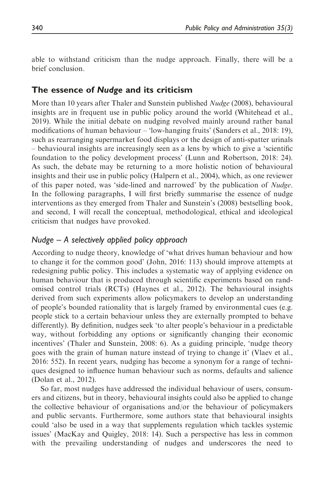able to withstand criticism than the nudge approach. Finally, there will be a brief conclusion.

### The essence of Nudge and its criticism

More than 10 years after Thaler and Sunstein published *Nudge* (2008), behavioural insights are in frequent use in public policy around the world (Whitehead et al., 2019). While the initial debate on nudging revolved mainly around rather banal modifications of human behaviour – 'low-hanging fruits' (Sanders et al., 2018: 19), such as rearranging supermarket food displays or the design of anti-spatter urinals – behavioural insights are increasingly seen as a lens by which to give a 'scientific foundation to the policy development process' (Lunn and Robertson, 2018: 24). As such, the debate may be returning to a more holistic notion of behavioural insights and their use in public policy (Halpern et al., 2004), which, as one reviewer of this paper noted, was 'side-lined and narrowed' by the publication of Nudge. In the following paragraphs, I will first briefly summarise the essence of nudge interventions as they emerged from Thaler and Sunstein's (2008) bestselling book, and second, I will recall the conceptual, methodological, ethical and ideological criticism that nudges have provoked.

### Nudge – A selectively applied policy approach

According to nudge theory, knowledge of 'what drives human behaviour and how to change it for the common good' (John, 2016: 113) should improve attempts at redesigning public policy. This includes a systematic way of applying evidence on human behaviour that is produced through scientific experiments based on randomised control trials (RCTs) (Haynes et al., 2012). The behavioural insights derived from such experiments allow policymakers to develop an understanding of people's bounded rationality that is largely framed by environmental cues (e.g. people stick to a certain behaviour unless they are externally prompted to behave differently). By definition, nudges seek 'to alter people's behaviour in a predictable way, without forbidding any options or significantly changing their economic incentives' (Thaler and Sunstein, 2008: 6). As a guiding principle, 'nudge theory goes with the grain of human nature instead of trying to change it' (Vlaev et al., 2016: 552). In recent years, nudging has become a synonym for a range of techniques designed to influence human behaviour such as norms, defaults and salience (Dolan et al., 2012).

So far, most nudges have addressed the individual behaviour of users, consumers and citizens, but in theory, behavioural insights could also be applied to change the collective behaviour of organisations and/or the behaviour of policymakers and public servants. Furthermore, some authors state that behavioural insights could 'also be used in a way that supplements regulation which tackles systemic issues' (MacKay and Quigley, 2018: 14). Such a perspective has less in common with the prevailing understanding of nudges and underscores the need to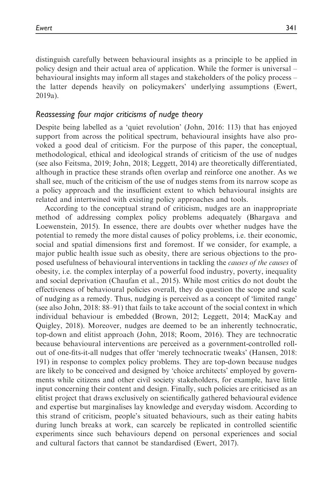distinguish carefully between behavioural insights as a principle to be applied in policy design and their actual area of application. While the former is universal – behavioural insights may inform all stages and stakeholders of the policy process – the latter depends heavily on policymakers' underlying assumptions (Ewert, 2019a).

## Reassessing four major criticisms of nudge theory

Despite being labelled as a 'quiet revolution' (John, 2016: 113) that has enjoyed support from across the political spectrum, behavioural insights have also provoked a good deal of criticism. For the purpose of this paper, the conceptual, methodological, ethical and ideological strands of criticism of the use of nudges (see also Feitsma, 2019; John, 2018; Leggett, 2014) are theoretically differentiated, although in practice these strands often overlap and reinforce one another. As we shall see, much of the criticism of the use of nudges stems from its narrow scope as a policy approach and the insufficient extent to which behavioural insights are related and intertwined with existing policy approaches and tools.

According to the conceptual strand of criticism, nudges are an inappropriate method of addressing complex policy problems adequately (Bhargava and Loewenstein, 2015). In essence, there are doubts over whether nudges have the potential to remedy the more distal causes of policy problems, i.e. their economic, social and spatial dimensions first and foremost. If we consider, for example, a major public health issue such as obesity, there are serious objections to the proposed usefulness of behavioural interventions in tackling the causes of the causes of obesity, i.e. the complex interplay of a powerful food industry, poverty, inequality and social deprivation (Chaufan et al., 2015). While most critics do not doubt the effectiveness of behavioural policies overall, they do question the scope and scale of nudging as a remedy. Thus, nudging is perceived as a concept of 'limited range' (see also John, 2018: 88–91) that fails to take account of the social context in which individual behaviour is embedded (Brown, 2012; Leggett, 2014; MacKay and Quigley, 2018). Moreover, nudges are deemed to be an inherently technocratic, top-down and elitist approach (John, 2018; Room, 2016). They are technocratic because behavioural interventions are perceived as a government-controlled rollout of one-fits-it-all nudges that offer 'merely technocratic tweaks' (Hansen, 2018: 191) in response to complex policy problems. They are top-down because nudges are likely to be conceived and designed by 'choice architects' employed by governments while citizens and other civil society stakeholders, for example, have little input concerning their content and design. Finally, such policies are criticised as an elitist project that draws exclusively on scientifically gathered behavioural evidence and expertise but marginalises lay knowledge and everyday wisdom. According to this strand of criticism, people's situated behaviours, such as their eating habits during lunch breaks at work, can scarcely be replicated in controlled scientific experiments since such behaviours depend on personal experiences and social and cultural factors that cannot be standardised (Ewert, 2017).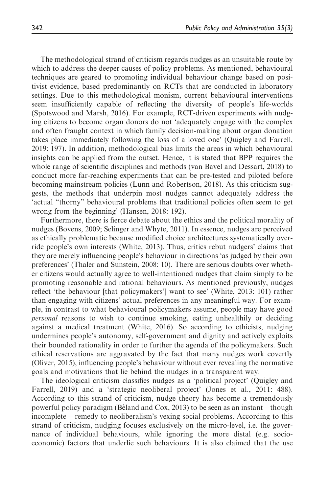The methodological strand of criticism regards nudges as an unsuitable route by which to address the deeper causes of policy problems. As mentioned, behavioural techniques are geared to promoting individual behaviour change based on positivist evidence, based predominantly on RCTs that are conducted in laboratory settings. Due to this methodological monism, current behavioural interventions seem insufficiently capable of reflecting the diversity of people's life-worlds (Spotswood and Marsh, 2016). For example, RCT-driven experiments with nudging citizens to become organ donors do not 'adequately engage with the complex and often fraught context in which family decision-making about organ donation takes place immediately following the loss of a loved one' (Quigley and Farrell, 2019: 197). In addition, methodological bias limits the areas in which behavioural insights can be applied from the outset. Hence, it is stated that BPP requires the whole range of scientific disciplines and methods (van Bavel and Dessart, 2018) to conduct more far-reaching experiments that can be pre-tested and piloted before becoming mainstream policies (Lunn and Robertson, 2018). As this criticism suggests, the methods that underpin most nudges cannot adequately address the 'actual "thorny" behavioural problems that traditional policies often seem to get wrong from the beginning' (Hansen, 2018: 192).

Furthermore, there is fierce debate about the ethics and the political morality of nudges (Bovens, 2009; Selinger and Whyte, 2011). In essence, nudges are perceived as ethically problematic because modified choice architectures systematically override people's own interests (White, 2013). Thus, critics rebut nudgers' claims that they are merely influencing people's behaviour in directions 'as judged by their own preferences' (Thaler and Sunstein, 2008: 10). There are serious doubts over whether citizens would actually agree to well-intentioned nudges that claim simply to be promoting reasonable and rational behaviours. As mentioned previously, nudges reflect 'the behaviour [that policymakers'] want to see' (White, 2013: 101) rather than engaging with citizens' actual preferences in any meaningful way. For example, in contrast to what behavioural policymakers assume, people may have good personal reasons to wish to continue smoking, eating unhealthily or deciding against a medical treatment (White, 2016). So according to ethicists, nudging undermines people's autonomy, self-government and dignity and actively exploits their bounded rationality in order to further the agenda of the policymakers. Such ethical reservations are aggravated by the fact that many nudges work covertly (Oliver, 2015), influencing people's behaviour without ever revealing the normative goals and motivations that lie behind the nudges in a transparent way.

The ideological criticism classifies nudges as a 'political project' (Quigley and Farrell, 2019) and a 'strategic neoliberal project' (Jones et al., 2011: 488). According to this strand of criticism, nudge theory has become a tremendously powerful policy paradigm (Béland and Cox, 2013) to be seen as an instant – though incomplete – remedy to neoliberalism's vexing social problems. According to this strand of criticism, nudging focuses exclusively on the micro-level, i.e. the governance of individual behaviours, while ignoring the more distal (e.g. socioeconomic) factors that underlie such behaviours. It is also claimed that the use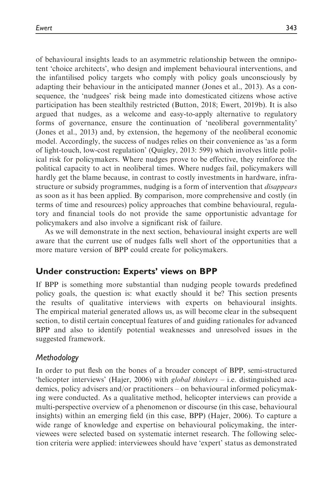of behavioural insights leads to an asymmetric relationship between the omnipotent 'choice architects', who design and implement behavioural interventions, and the infantilised policy targets who comply with policy goals unconsciously by adapting their behaviour in the anticipated manner (Jones et al., 2013). As a consequence, the 'nudgees' risk being made into domesticated citizens whose active participation has been stealthily restricted (Button, 2018; Ewert, 2019b). It is also argued that nudges, as a welcome and easy-to-apply alternative to regulatory forms of governance, ensure the continuation of 'neoliberal governmentality' (Jones et al., 2013) and, by extension, the hegemony of the neoliberal economic model. Accordingly, the success of nudges relies on their convenience as 'as a form of light-touch, low-cost regulation' (Quigley, 2013: 599) which involves little political risk for policymakers. Where nudges prove to be effective, they reinforce the political capacity to act in neoliberal times. Where nudges fail, policymakers will hardly get the blame because, in contrast to costly investments in hardware, infrastructure or subsidy programmes, nudging is a form of intervention that *disappears* as soon as it has been applied. By comparison, more comprehensive and costly (in terms of time and resources) policy approaches that combine behavioural, regulatory and financial tools do not provide the same opportunistic advantage for policymakers and also involve a significant risk of failure.

As we will demonstrate in the next section, behavioural insight experts are well aware that the current use of nudges falls well short of the opportunities that a more mature version of BPP could create for policymakers.

# Under construction: Experts' views on BPP

If BPP is something more substantial than nudging people towards predefined policy goals, the question is: what exactly should it be? This section presents the results of qualitative interviews with experts on behavioural insights. The empirical material generated allows us, as will become clear in the subsequent section, to distil certain conceptual features of and guiding rationales for advanced BPP and also to identify potential weaknesses and unresolved issues in the suggested framework.

### Methodology

In order to put flesh on the bones of a broader concept of BPP, semi-structured 'helicopter interviews' (Hajer, 2006) with *global thinkers*  $-$  i.e. distinguished academics, policy advisers and/or practitioners – on behavioural informed policymaking were conducted. As a qualitative method, helicopter interviews can provide a multi-perspective overview of a phenomenon or discourse (in this case, behavioural insights) within an emerging field (in this case, BPP) (Hajer, 2006). To capture a wide range of knowledge and expertise on behavioural policymaking, the interviewees were selected based on systematic internet research. The following selection criteria were applied: interviewees should have 'expert' status as demonstrated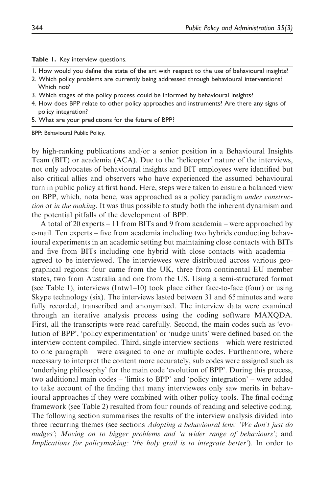Table 1. Key interview questions.

- 1. How would you define the state of the art with respect to the use of behavioural insights?
- 2. Which policy problems are currently being addressed through behavioural interventions? Which not?
- 3. Which stages of the policy process could be informed by behavioural insights?
- 4. How does BPP relate to other policy approaches and instruments? Are there any signs of policy integration?
- 5. What are your predictions for the future of BPP?

BPP: Behavioural Public Policy.

by high-ranking publications and/or a senior position in a Behavioural Insights Team (BIT) or academia (ACA). Due to the 'helicopter' nature of the interviews, not only advocates of behavioural insights and BIT employees were identified but also critical allies and observers who have experienced the assumed behavioural turn in public policy at first hand. Here, steps were taken to ensure a balanced view on BPP, which, nota bene, was approached as a policy paradigm under construction or in the making. It was thus possible to study both the inherent dynamism and the potential pitfalls of the development of BPP.

A total of 20 experts – 11 from BITs and 9 from academia – were approached by e-mail. Ten experts – five from academia including two hybrids conducting behavioural experiments in an academic setting but maintaining close contacts with BITs and five from BITs including one hybrid with close contacts with academia – agreed to be interviewed. The interviewees were distributed across various geographical regions: four came from the UK, three from continental EU member states, two from Australia and one from the US. Using a semi-structured format (see Table 1), interviews (Intw1–10) took place either face-to-face (four) or using Skype technology (six). The interviews lasted between 31 and 65 minutes and were fully recorded, transcribed and anonymised. The interview data were examined through an iterative analysis process using the coding software MAXQDA. First, all the transcripts were read carefully. Second, the main codes such as 'evolution of BPP', 'policy experimentation' or 'nudge units' were defined based on the interview content compiled. Third, single interview sections – which were restricted to one paragraph – were assigned to one or multiple codes. Furthermore, where necessary to interpret the content more accurately, sub codes were assigned such as 'underlying philosophy' for the main code 'evolution of BPP'. During this process, two additional main codes – 'limits to BPP' and 'policy integration' – were added to take account of the finding that many interviewees only saw merits in behavioural approaches if they were combined with other policy tools. The final coding framework (see Table 2) resulted from four rounds of reading and selective coding. The following section summarises the results of the interview analysis divided into three recurring themes (see sections *Adopting a behavioural lens: 'We don't just do* nudges'; Moving on to bigger problems and 'a wider range of behaviours'; and Implications for policymaking: 'the holy grail is to integrate better'). In order to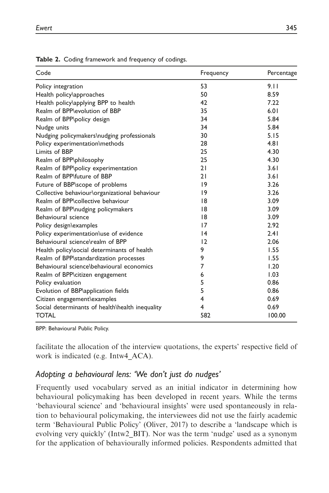| <b>Table 2.</b> Coding framework and frequency of codings. |                 |            |  |
|------------------------------------------------------------|-----------------|------------|--|
| Code                                                       | Frequency       | Percentage |  |
| Policy integration                                         | 53              | 9.11       |  |
| Health policy\approaches                                   | 50              | 8.59       |  |
| Health policy\applying BPP to health                       | 42              | 7.22       |  |
| Realm of BPP\evolution of BBP                              | 35              | 6.01       |  |
| Realm of BPP\policy design                                 | 34              | 5.84       |  |
| Nudge units                                                | 34              | 5.84       |  |
| Nudging policymakers\nudging professionals                 | 30              | 5.15       |  |
| Policy experimentation\methods                             | 28              | 4.81       |  |
| Limits of BBP                                              | 25              | 4.30       |  |
| Realm of BPP\philosophy                                    | 25              | 4.30       |  |
| Realm of BPP\policy experimentation                        | 21              | 3.61       |  |
| Realm of BPP\future of BBP                                 | 21              | 3.61       |  |
| Future of BBP\scope of problems                            | 19              | 3.26       |  |
| Collective behaviour\organizational behaviour              | 19              | 3.26       |  |
| Realm of BPP\collective behaviour                          | 18              | 3.09       |  |
| Realm of BPP\nudging policymakers                          | 18              | 3.09       |  |
| Behavioural science                                        | 18              | 3.09       |  |
| Policy design\examples                                     | 17              | 2.92       |  |
| Policy experimentation\use of evidence                     | $\overline{14}$ | 2.41       |  |
| Behavioural science\realm of BPP                           | 12              | 2.06       |  |
| Health policy\social determinants of health                | 9               | 1.55       |  |
| Realm of RPP standardization processes                     | 9               | <b>155</b> |  |

BPP: Behavioural Public Policy.

facilitate the allocation of the interview quotations, the experts' respective field of work is indicated (e.g. Intw4\_ACA).

Realm of BPP\standardization processes 5 1.55 Behavioural science\behavioural economics <br>
1.20 Realm of BPP\citizen engagement 6 1.03<br>Policy evaluation 6 1.03 Policy evaluation 6 0.86 Evolution of BBP\application fields 5 0.86 Citizen engagement\examples 4 0.69 Social determinants of health\health inequality 4 4 0.69 TOTAL 582 100.00

## Adopting a behavioural lens: 'We don't just do nudges'

Frequently used vocabulary served as an initial indicator in determining how behavioural policymaking has been developed in recent years. While the terms 'behavioural science' and 'behavioural insights' were used spontaneously in relation to behavioural policymaking, the interviewees did not use the fairly academic term 'Behavioural Public Policy' (Oliver, 2017) to describe a 'landscape which is evolving very quickly' (Intw2\_BIT). Nor was the term 'nudge' used as a synonym for the application of behaviourally informed policies. Respondents admitted that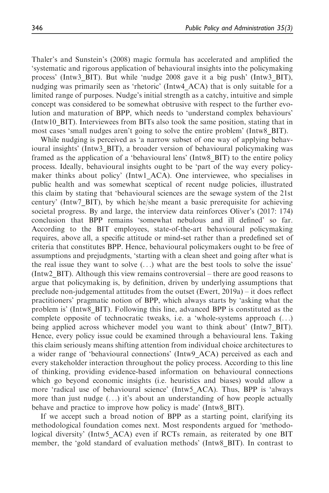Thaler's and Sunstein's (2008) magic formula has accelerated and amplified the 'systematic and rigorous application of behavioural insights into the policymaking process' (Intw3\_BIT). But while 'nudge 2008 gave it a big push' (Intw3\_BIT), nudging was primarily seen as 'rhetoric' (Intw4\_ACA) that is only suitable for a limited range of purposes. Nudge's initial strength as a catchy, intuitive and simple concept was considered to be somewhat obtrusive with respect to the further evolution and maturation of BPP, which needs to 'understand complex behaviours' (Intw10\_BIT). Interviewees from BITs also took the same position, stating that in most cases 'small nudges aren't going to solve the entire problem' (Intw8\_BIT).

While nudging is perceived as 'a narrow subset of one way of applying behavioural insights' (Intw3\_BIT), a broader version of behavioural policymaking was framed as the application of a 'behavioural lens' (Intw8\_BIT) to the entire policy process. Ideally, behavioural insights ought to be 'part of the way every policymaker thinks about policy' (Intw1\_ACA). One interviewee, who specialises in public health and was somewhat sceptical of recent nudge policies, illustrated this claim by stating that 'behavioural sciences are the sewage system of the 21st century' (Intw7\_BIT), by which he/she meant a basic prerequisite for achieving societal progress. By and large, the interview data reinforces Oliver's (2017: 174) conclusion that BPP remains 'somewhat nebulous and ill defined' so far. According to the BIT employees, state-of-the-art behavioural policymaking requires, above all, a specific attitude or mind-set rather than a predefined set of criteria that constitutes BPP. Hence, behavioural policymakers ought to be free of assumptions and prejudgments, 'starting with a clean sheet and going after what is the real issue they want to solve  $(\ldots)$  what are the best tools to solve the issue' (Intw2\_BIT). Although this view remains controversial – there are good reasons to argue that policymaking is, by definition, driven by underlying assumptions that preclude non-judgemental attitudes from the outset (Ewert, 2019a) – it does reflect practitioners' pragmatic notion of BPP, which always starts by 'asking what the problem is' (Intw8\_BIT). Following this line, advanced BPP is constituted as the complete opposite of technocratic tweaks, i.e. a 'whole-systems approach (...) being applied across whichever model you want to think about' (Intw7\_BIT). Hence, every policy issue could be examined through a behavioural lens. Taking this claim seriously means shifting attention from individual choice architectures to a wider range of 'behavioural connections' (Intw9\_ACA) perceived as each and every stakeholder interaction throughout the policy process. According to this line of thinking, providing evidence-based information on behavioural connections which go beyond economic insights (i.e. heuristics and biases) would allow a more 'radical use of behavioural science' (Intw5\_ACA). Thus, BPP is 'always more than just nudge (...) it's about an understanding of how people actually behave and practice to improve how policy is made' (Intw8\_BIT).

If we accept such a broad notion of BPP as a starting point, clarifying its methodological foundation comes next. Most respondents argued for 'methodological diversity' (Intw5\_ACA) even if RCTs remain, as reiterated by one BIT member, the 'gold standard of evaluation methods' (Intw8\_BIT). In contrast to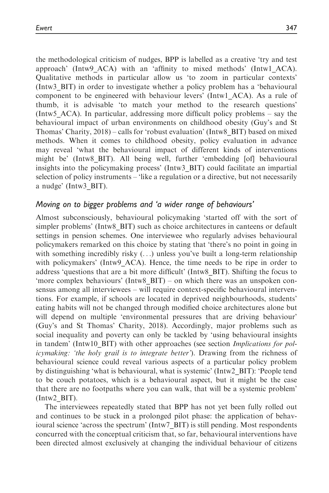the methodological criticism of nudges, BPP is labelled as a creative 'try and test approach' (Intw9\_ACA) with an 'affinity to mixed methods' (Intw1\_ACA). Qualitative methods in particular allow us 'to zoom in particular contexts' (Intw3\_BIT) in order to investigate whether a policy problem has a 'behavioural component to be engineered with behaviour levers' (Intw1\_ACA). As a rule of thumb, it is advisable 'to match your method to the research questions' (Intw5\_ACA). In particular, addressing more difficult policy problems – say the behavioural impact of urban environments on childhood obesity (Guy's and St Thomas' Charity, 2018) – calls for 'robust evaluation' (Intw8\_BIT) based on mixed methods. When it comes to childhood obesity, policy evaluation in advance may reveal 'what the behavioural impact of different kinds of interventions might be' (Intw8\_BIT). All being well, further 'embedding [of] behavioural insights into the policymaking process' (Intw3\_BIT) could facilitate an impartial selection of policy instruments – 'like a regulation or a directive, but not necessarily a nudge' (Intw3\_BIT).

### Moving on to bigger problems and 'a wider range of behaviours'

Almost subconsciously, behavioural policymaking 'started off with the sort of simpler problems' (Intw8 BIT) such as choice architectures in canteens or default settings in pension schemes. One interviewee who regularly advises behavioural policymakers remarked on this choice by stating that 'there's no point in going in with something incredibly risky (...) unless you've built a long-term relationship with policymakers' (Intw9 ACA). Hence, the time needs to be ripe in order to address 'questions that are a bit more difficult' (Intw8\_BIT). Shifting the focus to 'more complex behaviours' (Intw8\_BIT) – on which there was an unspoken consensus among all interviewees – will require context-specific behavioural interventions. For example, if schools are located in deprived neighbourhoods, students' eating habits will not be changed through modified choice architectures alone but will depend on multiple 'environmental pressures that are driving behaviour' (Guy's and St Thomas' Charity, 2018). Accordingly, major problems such as social inequality and poverty can only be tackled by 'using behavioural insights in tandem' (Intw10 BIT) with other approaches (see section *Implications for pol*icymaking: 'the holy grail is to integrate better'). Drawing from the richness of behavioural science could reveal various aspects of a particular policy problem by distinguishing 'what is behavioural, what is systemic' (Intw2\_BIT): 'People tend to be couch potatoes, which is a behavioural aspect, but it might be the case that there are no footpaths where you can walk, that will be a systemic problem' (Intw2\_BIT).

The interviewees repeatedly stated that BPP has not yet been fully rolled out and continues to be stuck in a prolonged pilot phase: the application of behavioural science 'across the spectrum' (Intw7\_BIT) is still pending. Most respondents concurred with the conceptual criticism that, so far, behavioural interventions have been directed almost exclusively at changing the individual behaviour of citizens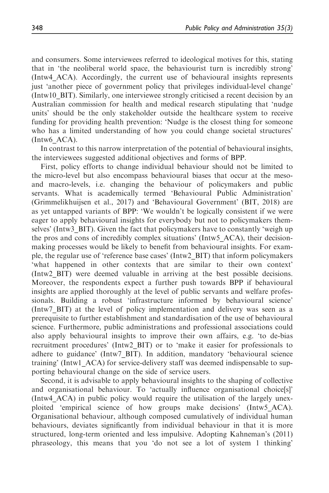and consumers. Some interviewees referred to ideological motives for this, stating that in 'the neoliberal world space, the behaviourist turn is incredibly strong' (Intw4\_ACA). Accordingly, the current use of behavioural insights represents just 'another piece of government policy that privileges individual-level change' (Intw10\_BIT). Similarly, one interviewee strongly criticised a recent decision by an Australian commission for health and medical research stipulating that 'nudge units' should be the only stakeholder outside the healthcare system to receive funding for providing health prevention: 'Nudge is the closest thing for someone who has a limited understanding of how you could change societal structures' (Intw6\_ACA).

In contrast to this narrow interpretation of the potential of behavioural insights, the interviewees suggested additional objectives and forms of BPP.

First, policy efforts to change individual behaviour should not be limited to the micro-level but also encompass behavioural biases that occur at the mesoand macro-levels, i.e. changing the behaviour of policymakers and public servants. What is academically termed 'Behavioural Public Administration' (Grimmelikhuijsen et al., 2017) and 'Behavioural Government' (BIT, 2018) are as yet untapped variants of BPP: 'We wouldn't be logically consistent if we were eager to apply behavioural insights for everybody but not to policymakers themselves' (Intw3\_BIT). Given the fact that policymakers have to constantly 'weigh up the pros and cons of incredibly complex situations' (Intw5\_ACA), their decisionmaking processes would be likely to benefit from behavioural insights. For example, the regular use of 'reference base cases' (Intw2\_BIT) that inform policymakers 'what happened in other contexts that are similar to their own context' (Intw2\_BIT) were deemed valuable in arriving at the best possible decisions. Moreover, the respondents expect a further push towards BPP if behavioural insights are applied thoroughly at the level of public servants and welfare professionals. Building a robust 'infrastructure informed by behavioural science' (Intw7\_BIT) at the level of policy implementation and delivery was seen as a prerequisite to further establishment and standardisation of the use of behavioural science. Furthermore, public administrations and professional associations could also apply behavioural insights to improve their own affairs, e.g. 'to de-bias recruitment procedures' (Intw2\_BIT) or to 'make it easier for professionals to adhere to guidance' (Intw7\_BIT). In addition, mandatory 'behavioural science training' (Intw1\_ACA) for service-delivery staff was deemed indispensable to supporting behavioural change on the side of service users.

Second, it is advisable to apply behavioural insights to the shaping of collective and organisational behaviour. To 'actually influence organisational choice[s]' (Intw4\_ACA) in public policy would require the utilisation of the largely unexploited 'empirical science of how groups make decisions' (Intw5\_ACA). Organisational behaviour, although composed cumulatively of individual human behaviours, deviates significantly from individual behaviour in that it is more structured, long-term oriented and less impulsive. Adopting Kahneman's (2011) phraseology, this means that you 'do not see a lot of system 1 thinking'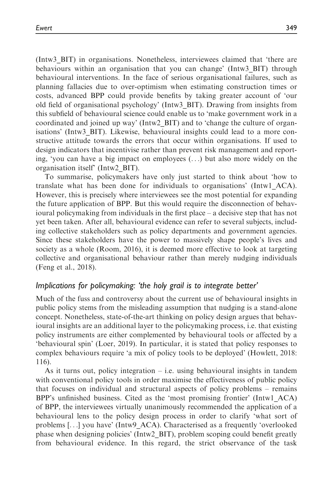(Intw3\_BIT) in organisations. Nonetheless, interviewees claimed that 'there are behaviours within an organisation that you can change' (Intw3\_BIT) through behavioural interventions. In the face of serious organisational failures, such as planning fallacies due to over-optimism when estimating construction times or costs, advanced BPP could provide benefits by taking greater account of 'our old field of organisational psychology' (Intw3\_BIT). Drawing from insights from this subfield of behavioural science could enable us to 'make government work in a coordinated and joined up way' (Intw2\_BIT) and to 'change the culture of organisations' (Intw3\_BIT). Likewise, behavioural insights could lead to a more constructive attitude towards the errors that occur within organisations. If used to design indicators that incentivise rather than prevent risk management and reporting, 'you can have a big impact on employees (...) but also more widely on the organisation itself' (Intw2\_BIT).

To summarise, policymakers have only just started to think about 'how to translate what has been done for individuals to organisations' (Intw1\_ACA). However, this is precisely where interviewees see the most potential for expanding the future application of BPP. But this would require the disconnection of behavioural policymaking from individuals in the first place – a decisive step that has not yet been taken. After all, behavioural evidence can refer to several subjects, including collective stakeholders such as policy departments and government agencies. Since these stakeholders have the power to massively shape people's lives and society as a whole (Room, 2016), it is deemed more effective to look at targeting collective and organisational behaviour rather than merely nudging individuals (Feng et al., 2018).

#### Implications for policymaking: 'the holy grail is to integrate better'

Much of the fuss and controversy about the current use of behavioural insights in public policy stems from the misleading assumption that nudging is a stand-alone concept. Nonetheless, state-of-the-art thinking on policy design argues that behavioural insights are an additional layer to the policymaking process, i.e. that existing policy instruments are either complemented by behavioural tools or affected by a 'behavioural spin' (Loer, 2019). In particular, it is stated that policy responses to complex behaviours require 'a mix of policy tools to be deployed' (Howlett, 2018: 116).

As it turns out, policy integration – i.e. using behavioural insights in tandem with conventional policy tools in order maximise the effectiveness of public policy that focuses on individual and structural aspects of policy problems – remains BPP's unfinished business. Cited as the 'most promising frontier' (Intw1\_ACA) of BPP, the interviewees virtually unanimously recommended the application of a behavioural lens to the policy design process in order to clarify 'what sort of problems [...] you have' (Intw9\_ACA). Characterised as a frequently 'overlooked phase when designing policies' (Intw2\_BIT), problem scoping could benefit greatly from behavioural evidence. In this regard, the strict observance of the task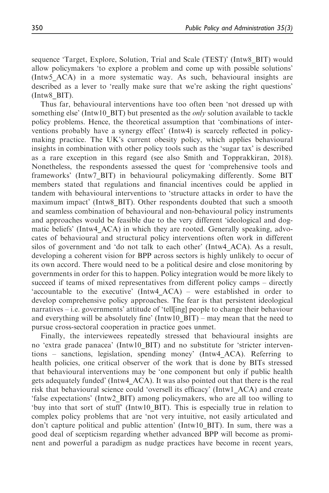sequence 'Target, Explore, Solution, Trial and Scale (TEST)' (Intw8\_BIT) would allow policymakers 'to explore a problem and come up with possible solutions' (Intw5\_ACA) in a more systematic way. As such, behavioural insights are described as a lever to 'really make sure that we're asking the right questions' (Intw8\_BIT).

Thus far, behavioural interventions have too often been 'not dressed up with something else' (Intw10\_BIT) but presented as the *only* solution available to tackle policy problems. Hence, the theoretical assumption that 'combinations of interventions probably have a synergy effect' (Intw4) is scarcely reflected in policymaking practice. The UK's current obesity policy, which applies behavioural insights in combination with other policy tools such as the 'sugar tax' is described as a rare exception in this regard (see also Smith and Topprakkiran, 2018). Nonetheless, the respondents assessed the quest for 'comprehensive tools and frameworks' (Intw7\_BIT) in behavioural policymaking differently. Some BIT members stated that regulations and financial incentives could be applied in tandem with behavioural interventions to 'structure attacks in order to have the maximum impact' (Intw8\_BIT). Other respondents doubted that such a smooth and seamless combination of behavioural and non-behavioural policy instruments and approaches would be feasible due to the very different 'ideological and dogmatic beliefs' (Intw4\_ACA) in which they are rooted. Generally speaking, advocates of behavioural and structural policy interventions often work in different silos of government and 'do not talk to each other' (Intw4\_ACA). As a result, developing a coherent vision for BPP across sectors is highly unlikely to occur of its own accord. There would need to be a political desire and close monitoring by governments in order for this to happen. Policy integration would be more likely to succeed if teams of mixed representatives from different policy camps – directly 'accountable to the executive' (Intw4\_ACA) – were established in order to develop comprehensive policy approaches. The fear is that persistent ideological narratives – i.e. governments' attitude of 'tell[ing] people to change their behaviour and everything will be absolutely fine' (Intw10\_BIT) – may mean that the need to pursue cross-sectoral cooperation in practice goes unmet.

Finally, the interviewees repeatedly stressed that behavioural insights are no 'extra grade panacea' (Intw10\_BIT) and no substitute for 'stricter interventions – sanctions, legislation, spending money' (Intw4\_ACA). Referring to health policies, one critical observer of the work that is done by BITs stressed that behavioural interventions may be 'one component but only if public health gets adequately funded' (Intw4\_ACA). It was also pointed out that there is the real risk that behavioural science could 'oversell its efficacy' (Intw1\_ACA) and create 'false expectations' (Intw2\_BIT) among policymakers, who are all too willing to 'buy into that sort of stuff' (Intw10\_BIT). This is especially true in relation to complex policy problems that are 'not very intuitive, not easily articulated and don't capture political and public attention' (Intw10\_BIT). In sum, there was a good deal of scepticism regarding whether advanced BPP will become as prominent and powerful a paradigm as nudge practices have become in recent years,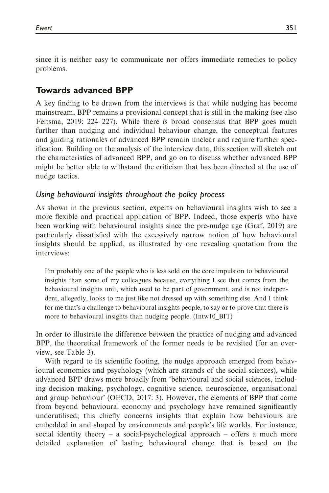since it is neither easy to communicate nor offers immediate remedies to policy problems.

# Towards advanced BPP

A key finding to be drawn from the interviews is that while nudging has become mainstream, BPP remains a provisional concept that is still in the making (see also Feitsma, 2019: 224–227). While there is broad consensus that BPP goes much further than nudging and individual behaviour change, the conceptual features and guiding rationales of advanced BPP remain unclear and require further specification. Building on the analysis of the interview data, this section will sketch out the characteristics of advanced BPP, and go on to discuss whether advanced BPP might be better able to withstand the criticism that has been directed at the use of nudge tactics.

## Using behavioural insights throughout the policy process

As shown in the previous section, experts on behavioural insights wish to see a more flexible and practical application of BPP. Indeed, those experts who have been working with behavioural insights since the pre-nudge age (Graf, 2019) are particularly dissatisfied with the excessively narrow notion of how behavioural insights should be applied, as illustrated by one revealing quotation from the interviews:

I'm probably one of the people who is less sold on the core impulsion to behavioural insights than some of my colleagues because, everything I see that comes from the behavioural insights unit, which used to be part of government, and is not independent, allegedly, looks to me just like not dressed up with something else. And I think for me that's a challenge to behavioural insights people, to say or to prove that there is more to behavioural insights than nudging people. (Intw10 BIT)

In order to illustrate the difference between the practice of nudging and advanced BPP, the theoretical framework of the former needs to be revisited (for an overview, see Table 3).

With regard to its scientific footing, the nudge approach emerged from behavioural economics and psychology (which are strands of the social sciences), while advanced BPP draws more broadly from 'behavioural and social sciences, including decision making, psychology, cognitive science, neuroscience, organisational and group behaviour' (OECD, 2017: 3). However, the elements of BPP that come from beyond behavioural economy and psychology have remained significantly underutilised; this chiefly concerns insights that explain how behaviours are embedded in and shaped by environments and people's life worlds. For instance, social identity theory – a social-psychological approach – offers a much more detailed explanation of lasting behavioural change that is based on the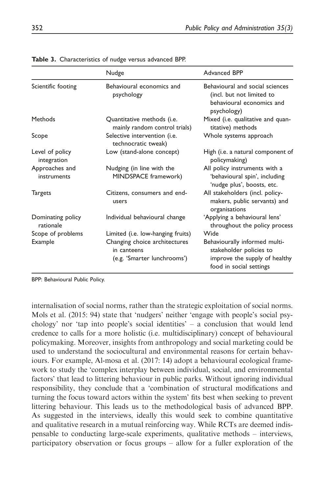|                                | Nudge                                                                       | <b>Advanced BPP</b>                                                                                                  |
|--------------------------------|-----------------------------------------------------------------------------|----------------------------------------------------------------------------------------------------------------------|
| Scientific footing             | Behavioural economics and<br>psychology                                     | Behavioural and social sciences<br>(incl. but not limited to<br>hehavioural economics and<br>psychology)             |
| Methods                        | Quantitative methods (i.e.<br>mainly random control trials)                 | Mixed (i.e. qualitative and quan-<br>titative) methods                                                               |
| Scope                          | Selective intervention (i.e.<br>technocratic tweak)                         | Whole systems approach                                                                                               |
| Level of policy<br>integration | Low (stand-alone concept)                                                   | High (i.e. a natural component of<br>policymaking)                                                                   |
| Approaches and<br>instruments  | Nudging (in line with the<br>MINDSPACE framework)                           | All policy instruments with a<br>'behavioural spin', including<br>'nudge plus', boosts, etc.                         |
| Targets                        | Citizens, consumers and end-<br>users                                       | All stakeholders (incl. policy-<br>makers, public servants) and<br>organisations                                     |
| Dominating policy<br>rationale | Individual behavioural change                                               | 'Applying a behavioural lens'<br>throughout the policy process                                                       |
| Scope of problems              | Limited (i.e. low-hanging fruits)                                           | Wide                                                                                                                 |
| Example                        | Changing choice architectures<br>in canteens<br>(e.g. 'Smarter lunchrooms') | Behaviourally informed multi-<br>stakeholder policies to<br>improve the supply of healthy<br>food in social settings |

Table 3. Characteristics of nudge versus advanced BPP.

BPP: Behavioural Public Policy.

internalisation of social norms, rather than the strategic exploitation of social norms. Mols et al. (2015: 94) state that 'nudgers' neither 'engage with people's social psychology' nor 'tap into people's social identities' – a conclusion that would lend credence to calls for a more holistic (i.e. multidisciplinary) concept of behavioural policymaking. Moreover, insights from anthropology and social marketing could be used to understand the sociocultural and environmental reasons for certain behaviours. For example, Al-mosa et al. (2017: 14) adopt a behavioural ecological framework to study the 'complex interplay between individual, social, and environmental factors' that lead to littering behaviour in public parks. Without ignoring individual responsibility, they conclude that a 'combination of structural modifications and turning the focus toward actors within the system' fits best when seeking to prevent littering behaviour. This leads us to the methodological basis of advanced BPP. As suggested in the interviews, ideally this would seek to combine quantitative and qualitative research in a mutual reinforcing way. While RCTs are deemed indispensable to conducting large-scale experiments, qualitative methods – interviews, participatory observation or focus groups – allow for a fuller exploration of the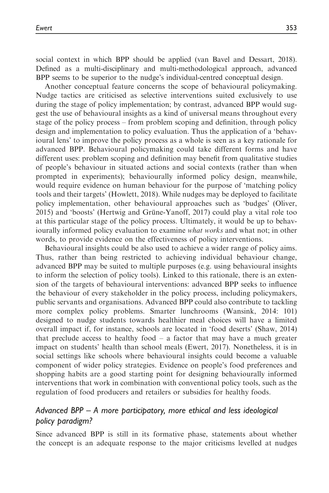social context in which BPP should be applied (van Bavel and Dessart, 2018). Defined as a multi-disciplinary and multi-methodological approach, advanced BPP seems to be superior to the nudge's individual-centred conceptual design.

Another conceptual feature concerns the scope of behavioural policymaking. Nudge tactics are criticised as selective interventions suited exclusively to use during the stage of policy implementation; by contrast, advanced BPP would suggest the use of behavioural insights as a kind of universal means throughout every stage of the policy process – from problem scoping and definition, through policy design and implementation to policy evaluation. Thus the application of a 'behavioural lens' to improve the policy process as a whole is seen as a key rationale for advanced BPP. Behavioural policymaking could take different forms and have different uses: problem scoping and definition may benefit from qualitative studies of people's behaviour in situated actions and social contexts (rather than when prompted in experiments); behaviourally informed policy design, meanwhile, would require evidence on human behaviour for the purpose of 'matching policy tools and their targets' (Howlett, 2018). While nudges may be deployed to facilitate policy implementation, other behavioural approaches such as 'budges' (Oliver,  $2015$ ) and 'boosts' (Hertwig and Grüne-Yanoff,  $2017$ ) could play a vital role too at this particular stage of the policy process. Ultimately, it would be up to behaviourally informed policy evaluation to examine what works and what not; in other words, to provide evidence on the effectiveness of policy interventions.

Behavioural insights could be also used to achieve a wider range of policy aims. Thus, rather than being restricted to achieving individual behaviour change, advanced BPP may be suited to multiple purposes (e.g. using behavioural insights to inform the selection of policy tools). Linked to this rationale, there is an extension of the targets of behavioural interventions: advanced BPP seeks to influence the behaviour of every stakeholder in the policy process, including policymakers, public servants and organisations. Advanced BPP could also contribute to tackling more complex policy problems. Smarter lunchrooms (Wansink, 2014: 101) designed to nudge students towards healthier meal choices will have a limited overall impact if, for instance, schools are located in 'food deserts' (Shaw, 2014) that preclude access to healthy food  $-$  a factor that may have a much greater impact on students' health than school meals (Ewert, 2017). Nonetheless, it is in social settings like schools where behavioural insights could become a valuable component of wider policy strategies. Evidence on people's food preferences and shopping habits are a good starting point for designing behaviourally informed interventions that work in combination with conventional policy tools, such as the regulation of food producers and retailers or subsidies for healthy foods.

# Advanced BPP – A more participatory, more ethical and less ideological policy paradigm?

Since advanced BPP is still in its formative phase, statements about whether the concept is an adequate response to the major criticisms levelled at nudges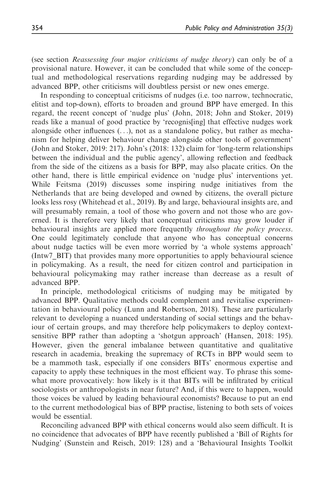(see section Reassessing four major criticisms of nudge theory) can only be of a provisional nature. However, it can be concluded that while some of the conceptual and methodological reservations regarding nudging may be addressed by advanced BPP, other criticisms will doubtless persist or new ones emerge.

In responding to conceptual criticisms of nudges (i.e. too narrow, technocratic, elitist and top-down), efforts to broaden and ground BPP have emerged. In this regard, the recent concept of 'nudge plus' (John, 2018; John and Stoker, 2019) reads like a manual of good practice by 'recognis[ing] that effective nudges work alongside other influences  $(\ldots)$ , not as a standalone policy, but rather as mechanism for helping deliver behaviour change alongside other tools of government' (John and Stoker, 2019: 217). John's (2018: 132) claim for 'long-term relationships between the individual and the public agency', allowing reflection and feedback from the side of the citizens as a basis for BPP, may also placate critics. On the other hand, there is little empirical evidence on 'nudge plus' interventions yet. While Feitsma (2019) discusses some inspiring nudge initiatives from the Netherlands that are being developed and owned by citizens, the overall picture looks less rosy (Whitehead et al., 2019). By and large, behavioural insights are, and will presumably remain, a tool of those who govern and not those who are governed. It is therefore very likely that conceptual criticisms may grow louder if behavioural insights are applied more frequently *throughout the policy process*. One could legitimately conclude that anyone who has conceptual concerns about nudge tactics will be even more worried by 'a whole systems approach' (Intw7\_BIT) that provides many more opportunities to apply behavioural science in policymaking. As a result, the need for citizen control and participation in behavioural policymaking may rather increase than decrease as a result of advanced BPP.

In principle, methodological criticisms of nudging may be mitigated by advanced BPP. Qualitative methods could complement and revitalise experimentation in behavioural policy (Lunn and Robertson, 2018). These are particularly relevant to developing a nuanced understanding of social settings and the behaviour of certain groups, and may therefore help policymakers to deploy contextsensitive BPP rather than adopting a 'shotgun approach' (Hansen, 2018: 195). However, given the general imbalance between quantitative and qualitative research in academia, breaking the supremacy of RCTs in BPP would seem to be a mammoth task, especially if one considers BITs' enormous expertise and capacity to apply these techniques in the most efficient way. To phrase this somewhat more provocatively: how likely is it that BITs will be infiltrated by critical sociologists or anthropologists in near future? And, if this were to happen, would those voices be valued by leading behavioural economists? Because to put an end to the current methodological bias of BPP practise, listening to both sets of voices would be essential.

Reconciling advanced BPP with ethical concerns would also seem difficult. It is no coincidence that advocates of BPP have recently published a 'Bill of Rights for Nudging' (Sunstein and Reisch, 2019: 128) and a 'Behavioural Insights Toolkit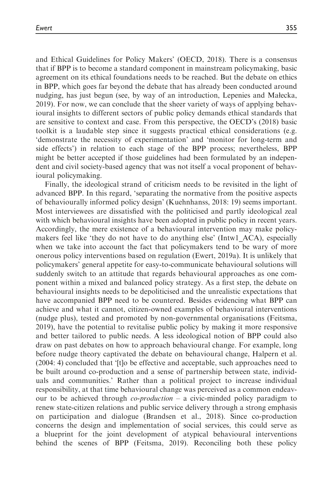and Ethical Guidelines for Policy Makers' (OECD, 2018). There is a consensus that if BPP is to become a standard component in mainstream policymaking, basic agreement on its ethical foundations needs to be reached. But the debate on ethics in BPP, which goes far beyond the debate that has already been conducted around nudging, has just begun (see, by way of an introduction, Lepenies and Małecka, 2019). For now, we can conclude that the sheer variety of ways of applying behavioural insights to different sectors of public policy demands ethical standards that are sensitive to context and case. From this perspective, the OECD's (2018) basic toolkit is a laudable step since it suggests practical ethical considerations (e.g. 'demonstrate the necessity of experimentation' and 'monitor for long-term and side effects') in relation to each stage of the BPP process; nevertheless, BPP might be better accepted if those guidelines had been formulated by an independent and civil society-based agency that was not itself a vocal proponent of behavioural policymaking.

Finally, the ideological strand of criticism needs to be revisited in the light of advanced BPP. In this regard, 'separating the normative from the positive aspects of behaviourally informed policy design' (Kuehnhanss, 2018: 19) seems important. Most interviewees are dissatisfied with the politicised and partly ideological zeal with which behavioural insights have been adopted in public policy in recent years. Accordingly, the mere existence of a behavioural intervention may make policymakers feel like 'they do not have to do anything else' (Intw1\_ACA), especially when we take into account the fact that policymakers tend to be wary of more onerous policy interventions based on regulation (Ewert, 2019a). It is unlikely that policymakers' general appetite for easy-to-communicate behavioural solutions will suddenly switch to an attitude that regards behavioural approaches as one component within a mixed and balanced policy strategy. As a first step, the debate on behavioural insights needs to be depoliticised and the unrealistic expectations that have accompanied BPP need to be countered. Besides evidencing what BPP can achieve and what it cannot, citizen-owned examples of behavioural interventions (nudge plus), tested and promoted by non-governmental organisations (Feitsma, 2019), have the potential to revitalise public policy by making it more responsive and better tailored to public needs. A less ideological notion of BPP could also draw on past debates on how to approach behavioural change. For example, long before nudge theory captivated the debate on behavioural change, Halpern et al. (2004: 4) concluded that '[t]o be effective and acceptable, such approaches need to be built around co-production and a sense of partnership between state, individuals and communities.' Rather than a political project to increase individual responsibility, at that time behavioural change was perceived as a common endeavour to be achieved through *co-production* – a civic-minded policy paradigm to renew state-citizen relations and public service delivery through a strong emphasis on participation and dialogue (Brandsen et al., 2018). Since co-production concerns the design and implementation of social services, this could serve as a blueprint for the joint development of atypical behavioural interventions behind the scenes of BPP (Feitsma, 2019). Reconciling both these policy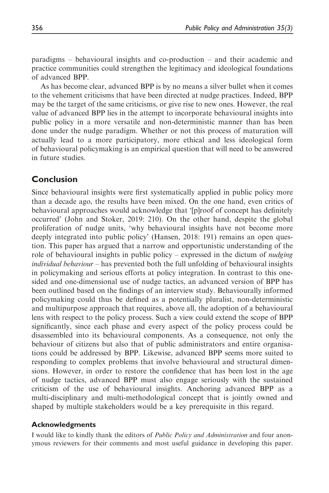paradigms – behavioural insights and co-production – and their academic and practice communities could strengthen the legitimacy and ideological foundations of advanced BPP.

As has become clear, advanced BPP is by no means a silver bullet when it comes to the vehement criticisms that have been directed at nudge practices. Indeed, BPP may be the target of the same criticisms, or give rise to new ones. However, the real value of advanced BPP lies in the attempt to incorporate behavioural insights into public policy in a more versatile and non-deterministic manner than has been done under the nudge paradigm. Whether or not this process of maturation will actually lead to a more participatory, more ethical and less ideological form of behavioural policymaking is an empirical question that will need to be answered in future studies.

## Conclusion

Since behavioural insights were first systematically applied in public policy more than a decade ago, the results have been mixed. On the one hand, even critics of behavioural approaches would acknowledge that '[p]roof of concept has definitely occurred' (John and Stoker, 2019: 210). On the other hand, despite the global proliferation of nudge units, 'why behavioural insights have not become more deeply integrated into public policy' (Hansen, 2018: 191) remains an open question. This paper has argued that a narrow and opportunistic understanding of the role of behavioural insights in public policy – expressed in the dictum of *nudging* individual behaviour – has prevented both the full unfolding of behavioural insights in policymaking and serious efforts at policy integration. In contrast to this onesided and one-dimensional use of nudge tactics, an advanced version of BPP has been outlined based on the findings of an interview study. Behaviourally informed policymaking could thus be defined as a potentially pluralist, non-deterministic and multipurpose approach that requires, above all, the adoption of a behavioural lens with respect to the policy process. Such a view could extend the scope of BPP significantly, since each phase and every aspect of the policy process could be disassembled into its behavioural components. As a consequence, not only the behaviour of citizens but also that of public administrators and entire organisations could be addressed by BPP. Likewise, advanced BPP seems more suited to responding to complex problems that involve behavioural and structural dimensions. However, in order to restore the confidence that has been lost in the age of nudge tactics, advanced BPP must also engage seriously with the sustained criticism of the use of behavioural insights. Anchoring advanced BPP as a multi-disciplinary and multi-methodological concept that is jointly owned and shaped by multiple stakeholders would be a key prerequisite in this regard.

#### Acknowledgments

I would like to kindly thank the editors of *Public Policy and Administration* and four anonymous reviewers for their comments and most useful guidance in developing this paper.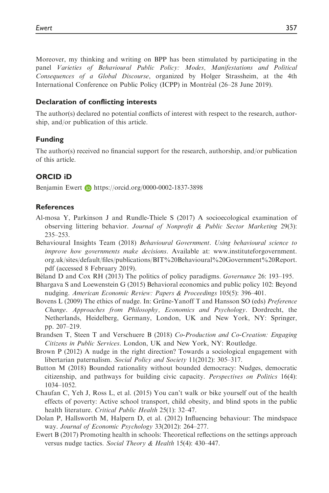Moreover, my thinking and writing on BPP has been stimulated by participating in the panel Varieties of Behavioural Public Policy: Modes, Manifestations and Political Consequences of a Global Discourse, organized by Holger Strassheim, at the 4th International Conference on Public Policy (ICPP) in Montréal (26–28 June 2019).

#### Declaration of conflicting interests

The author(s) declared no potential conflicts of interest with respect to the research, authorship, and/or publication of this article.

#### Funding

The author(s) received no financial support for the research, authorship, and/or publication of this article.

#### ORCID iD

Benjamin Ewert **b** <https://orcid.org/0000-0002-1837-3898>

#### **References**

- Al-mosa Y, Parkinson J and Rundle-Thiele S (2017) A socioecological examination of observing littering behavior. Journal of Nonprofit & Public Sector Marketing 29(3): 235–253.
- Behavioural Insights Team (2018) Behavioural Government. Using behavioural science to improve how governments make decisions. Available at: [www.instituteforgovernment.](http://www.instituteforgovernment.org.uk/sites/default/files/publications/BIT%20Behavioural%20Government%20Report.pdf) [org.uk/sites/default/files/publications/BIT%20Behavioural%20Government%20Report.](http://www.instituteforgovernment.org.uk/sites/default/files/publications/BIT%20Behavioural%20Government%20Report.pdf) [pdf](http://www.instituteforgovernment.org.uk/sites/default/files/publications/BIT%20Behavioural%20Government%20Report.pdf) (accessed 8 February 2019).
- Béland D and Cox RH (2013) The politics of policy paradigms. Governance 26: 193–195.
- Bhargava S and Loewenstein G (2015) Behavioral economics and public policy 102: Beyond nudging. American Economic Review: Papers & Proceedings 105(5): 396–401.
- Bovens L (2009) The ethics of nudge. In: Grüne-Yanoff T and Hansson SO (eds) Preference Change. Approaches from Philosophy, Economics and Psychology. Dordrecht, the Netherlands, Heidelberg, Germany, London, UK and New York, NY: Springer, pp. 207–219.
- Brandsen T, Steen T and Verschuere B (2018) Co-Production and Co-Creation: Engaging Citizens in Public Services. London, UK and New York, NY: Routledge.
- Brown P (2012) A nudge in the right direction? Towards a sociological engagement with libertarian paternalism. Social Policy and Society 11(2012): 305–317.
- Button M (2018) Bounded rationality without bounded democracy: Nudges, democratic citizenship, and pathways for building civic capacity. Perspectives on Politics 16(4): 1034–1052.
- Chaufan C, Yeh J, Ross L, et al. (2015) You can't walk or bike yourself out of the health effects of poverty: Active school transport, child obesity, and blind spots in the public health literature. *Critical Public Health* 25(1): 32–47.
- Dolan P, Hallsworth M, Halpern D, et al. (2012) Influencing behaviour: The mindspace way. Journal of Economic Psychology 33(2012): 264–277.
- Ewert B (2017) Promoting health in schools: Theoretical reflections on the settings approach versus nudge tactics. Social Theory & Health 15(4): 430–447.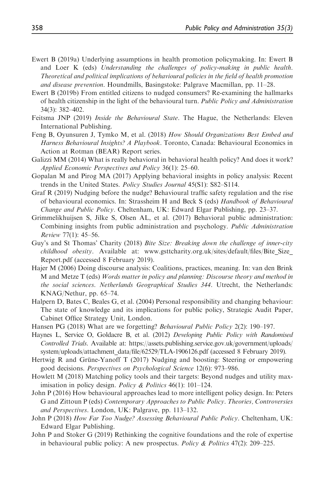- Ewert B (2019a) Underlying assumptions in health promotion policymaking. In: Ewert B and Loer K (eds) Understanding the challenges of policy-making in public health. Theoretical and political implications of behavioural policies in the field of health promotion and disease prevention. Houndmills, Basingstoke: Palgrave Macmillan, pp. 11–28.
- Ewert B (2019b) From entitled citizens to nudged consumers? Re-examining the hallmarks of health citizenship in the light of the behavioural turn. Public Policy and Administration 34(3): 382–402.
- Feitsma JNP (2019) Inside the Behavioural State. The Hague, the Netherlands: Eleven International Publishing.
- Feng B, Oyunsuren J, Tymko M, et al. (2018) How Should Organizations Best Embed and Harness Behavioural Insights? A Playbook. Toronto, Canada: Behavioural Economics in Action at Rotman (BEAR) Report series.
- Galizzi MM (2014) What is really behavioral in behavioral health policy? And does it work? Applied Economic Perspectives and Policy 36(1): 25–60.
- Gopalan M and Pirog MA (2017) Applying behavioral insights in policy analysis: Recent trends in the United States. Policy Studies Journal 45(S1): S82-S114.
- Graf R (2019) Nudging before the nudge? Behavioural traffic safety regulation and the rise of behavioural economics. In: Strassheim H and Beck S (eds) Handbook of Behavioural Change and Public Policy. Cheltenham, UK: Edward Elgar Publishing, pp. 23–37.
- Grimmelikhuijsen S, Jilke S, Olsen AL, et al. (2017) Behavioral public administration: Combining insights from public administration and psychology. Public Administration Review 77(1): 45–56.
- Guy's and St Thomas' Charity (2018) *Bite Size: Breaking down the challenge of inner-city* childhood obesity. Available at: www.gsttcharity.org.uk/sites/default/files/Bite Size [Report.pdf](http://www.gsttcharity.org.uk/sites/default/files/Bite_Size_Report.pdf) (accessed 8 February 2019).
- Hajer M (2006) Doing discourse analysis: Coalitions, practices, meaning. In: van den Brink M and Metze  $T$  (eds) *Words matter in policy and planning: Discourse theory and method in* the social sciences. Netherlands Geographical Studies 344. Utrecht, the Netherlands: KNAG/Nethur, pp. 65–74.
- Halpern D, Bates C, Beales G, et al. (2004) Personal responsibility and changing behaviour: The state of knowledge and its implications for public policy, Strategic Audit Paper, Cabinet Office Strategy Unit, London.
- Hansen PG (2018) What are we forgetting? Behavioural Public Policy 2(2): 190–197.
- Haynes L, Service O, Goldacre B, et al. (2012) Developing Public Policy with Randomised Controlled Trials. Available at: [https://assets.publishing.service.gov.uk/government/uploads/](https://assets.publishing.service.gov.uk/government/uploads/system/uploads/attachment_data/file/62529/TLA-1906126.pdf) [system/uploads/attachment\\_data/file/62529/TLA-1906126.pdf](https://assets.publishing.service.gov.uk/government/uploads/system/uploads/attachment_data/file/62529/TLA-1906126.pdf) (accessed 8 February 2019).
- Hertwig R and Grüne-Yanoff T (2017) Nudging and boosting: Steering or empowering good decisions. Perspectives on Psychological Science 12(6): 973–986.
- Howlett M (2018) Matching policy tools and their targets: Beyond nudges and utility maximisation in policy design. Policy & Politics 46(1): 101–124.
- John P (2016) How behavioural approaches lead to more intelligent policy design. In: Peters G and Zittoun P (eds) Contemporary Approaches to Public Policy. Theories, Controversies and Perspectives. London, UK: Palgrave, pp. 113–132.
- John P (2018) How Far Too Nudge? Assessing Behavioural Public Policy. Cheltenham, UK: Edward Elgar Publishing.
- John P and Stoker G (2019) Rethinking the cognitive foundations and the role of expertise in behavioural public policy: A new prospectus. Policy & Politics 47(2): 209–225.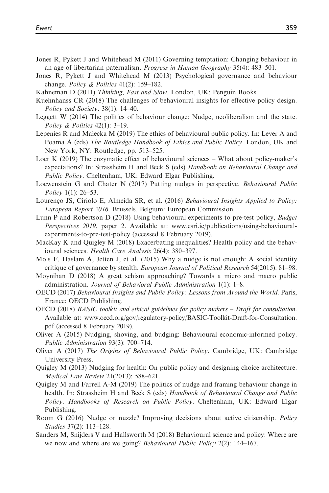- Jones R, Pykett J and Whitehead M (2011) Governing temptation: Changing behaviour in an age of libertarian paternalism. Progress in Human Geography 35(4): 483–501.
- Jones R, Pykett J and Whitehead M (2013) Psychological governance and behaviour change. Policy & Politics  $41(2)$ : 159–182.
- Kahneman D (2011) Thinking, Fast and Slow. London, UK: Penguin Books.
- Kuehnhanss CR (2018) The challenges of behavioural insights for effective policy design. Policy and Society. 38(1): 14-40.
- Leggett W (2014) The politics of behaviour change: Nudge, neoliberalism and the state. Policy & Politics 42(1): 3–19.
- Lepenies R and Małecka M (2019) The ethics of behavioural public policy. In: Lever A and Poama A (eds) The Routledge Handbook of Ethics and Public Policy. London, UK and New York, NY: Routledge, pp. 513–525.
- Loer K (2019) The enzymatic effect of behavioural sciences What about policy-maker's expectations? In: Strassheim H and Beck S (eds) Handbook on Behavioural Change and Public Policy. Cheltenham, UK: Edward Elgar Publishing.
- Loewenstein G and Chater N (2017) Putting nudges in perspective. Behavioural Public Policy 1(1): 26–53.
- Lourenço JS, Ciriolo E, Almeida SR, et al. (2016) Behavioural Insights Applied to Policy: European Report 2016. Brussels, Belgium: European Commission.
- Lunn P and Robertson D (2018) Using behavioural experiments to pre-test policy, Budget Perspectives 2019, paper 2. Available at: [www.esri.ie/publications/using-behavioural](http://www.esri.ie/publications/using-behavioural-experiments-to-pre-test-policy)[experiments-to-pre-test-policy](http://www.esri.ie/publications/using-behavioural-experiments-to-pre-test-policy) (accessed 8 February 2019).
- MacKay K and Quigley M (2018) Exacerbating inequalities? Health policy and the behavioural sciences. Health Care Analysis 26(4): 380–397.
- Mols F, Haslam A, Jetten J, et al. (2015) Why a nudge is not enough: A social identity critique of governance by stealth. *European Journal of Political Research* 54(2015): 81–98.
- Moynihan D (2018) A great schism approaching? Towards a micro and macro public administration. Journal of Behavioral Public Administration 1(1): 1–8.
- OECD (2017) Behavioural Insights and Public Policy: Lessons from Around the World. Paris, France: OECD Publishing.
- OECD (2018) BASIC toolkit and ethical guidelines for policy makers Draft for consultation. Available at: [www.oecd.org/gov/regulatory-policy/BASIC-Toolkit-Draft-for-Consultation.](http://www.oecd.org/gov/regulatory-policy/BASIC-Toolkit-Draft-for-Consultation.pdf) [pdf](http://www.oecd.org/gov/regulatory-policy/BASIC-Toolkit-Draft-for-Consultation.pdf) (accessed 8 February 2019).
- Oliver A (2015) Nudging, shoving, and budging: Behavioural economic-informed policy. Public Administration 93(3): 700–714.
- Oliver A (2017) The Origins of Behavioural Public Policy. Cambridge, UK: Cambridge University Press.
- Quigley M (2013) Nudging for health: On public policy and designing choice architecture. Medical Law Review 21(2013): 588–621.
- Quigley M and Farrell A-M (2019) The politics of nudge and framing behaviour change in health. In: Strassheim H and Beck S (eds) Handbook of Behavioural Change and Public Policy. Handbooks of Research on Public Policy. Cheltenham, UK: Edward Elgar Publishing.
- Room G (2016) Nudge or nuzzle? Improving decisions about active citizenship. Policy Studies 37(2): 113–128.
- Sanders M, Snijders V and Hallsworth M (2018) Behavioural science and policy: Where are we now and where are we going? *Behavioural Public Policy* 2(2): 144–167.